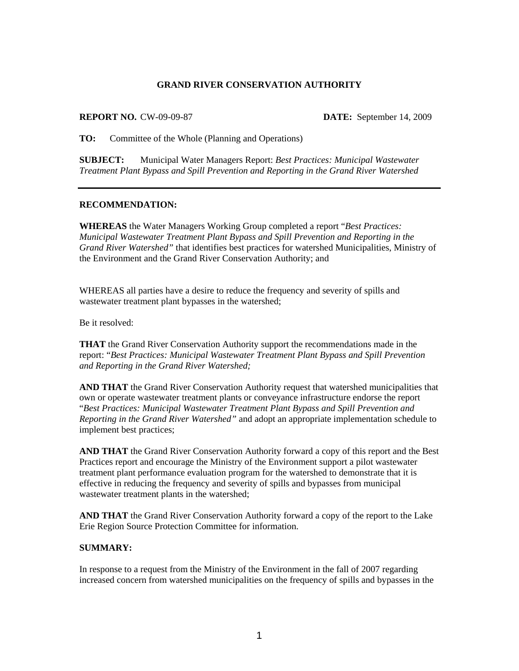#### **GRAND RIVER CONSERVATION AUTHORITY**

#### **REPORT NO.** CW-09-09-87 **DATE:** September 14, 2009

**TO:** Committee of the Whole (Planning and Operations)

**SUBJECT:** Municipal Water Managers Report: *Best Practices: Municipal Wastewater Treatment Plant Bypass and Spill Prevention and Reporting in the Grand River Watershed*

## **RECOMMENDATION:**

**WHEREAS** the Water Managers Working Group completed a report "*Best Practices: Municipal Wastewater Treatment Plant Bypass and Spill Prevention and Reporting in the Grand River Watershed"* that identifies best practices for watershed Municipalities, Ministry of the Environment and the Grand River Conservation Authority; and

WHEREAS all parties have a desire to reduce the frequency and severity of spills and wastewater treatment plant bypasses in the watershed;

Be it resolved:

**THAT** the Grand River Conservation Authority support the recommendations made in the report: "*Best Practices: Municipal Wastewater Treatment Plant Bypass and Spill Prevention and Reporting in the Grand River Watershed;*

**AND THAT** the Grand River Conservation Authority request that watershed municipalities that own or operate wastewater treatment plants or conveyance infrastructure endorse the report "*Best Practices: Municipal Wastewater Treatment Plant Bypass and Spill Prevention and Reporting in the Grand River Watershed"* and adopt an appropriate implementation schedule to implement best practices;

**AND THAT** the Grand River Conservation Authority forward a copy of this report and the Best Practices report and encourage the Ministry of the Environment support a pilot wastewater treatment plant performance evaluation program for the watershed to demonstrate that it is effective in reducing the frequency and severity of spills and bypasses from municipal wastewater treatment plants in the watershed;

**AND THAT** the Grand River Conservation Authority forward a copy of the report to the Lake Erie Region Source Protection Committee for information.

## **SUMMARY:**

In response to a request from the Ministry of the Environment in the fall of 2007 regarding increased concern from watershed municipalities on the frequency of spills and bypasses in the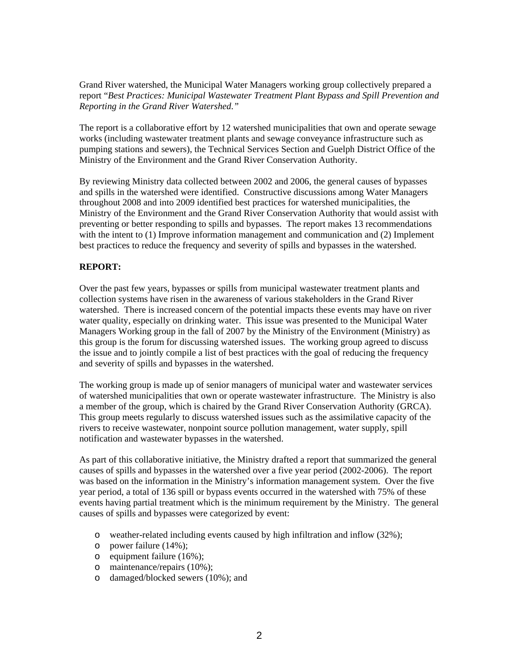Grand River watershed, the Municipal Water Managers working group collectively prepared a report "*Best Practices: Municipal Wastewater Treatment Plant Bypass and Spill Prevention and Reporting in the Grand River Watershed."* 

The report is a collaborative effort by 12 watershed municipalities that own and operate sewage works (including wastewater treatment plants and sewage conveyance infrastructure such as pumping stations and sewers), the Technical Services Section and Guelph District Office of the Ministry of the Environment and the Grand River Conservation Authority.

By reviewing Ministry data collected between 2002 and 2006, the general causes of bypasses and spills in the watershed were identified. Constructive discussions among Water Managers throughout 2008 and into 2009 identified best practices for watershed municipalities, the Ministry of the Environment and the Grand River Conservation Authority that would assist with preventing or better responding to spills and bypasses. The report makes 13 recommendations with the intent to (1) Improve information management and communication and (2) Implement best practices to reduce the frequency and severity of spills and bypasses in the watershed.

## **REPORT:**

Over the past few years, bypasses or spills from municipal wastewater treatment plants and collection systems have risen in the awareness of various stakeholders in the Grand River watershed. There is increased concern of the potential impacts these events may have on river water quality, especially on drinking water. This issue was presented to the Municipal Water Managers Working group in the fall of 2007 by the Ministry of the Environment (Ministry) as this group is the forum for discussing watershed issues. The working group agreed to discuss the issue and to jointly compile a list of best practices with the goal of reducing the frequency and severity of spills and bypasses in the watershed.

The working group is made up of senior managers of municipal water and wastewater services of watershed municipalities that own or operate wastewater infrastructure. The Ministry is also a member of the group, which is chaired by the Grand River Conservation Authority (GRCA). This group meets regularly to discuss watershed issues such as the assimilative capacity of the rivers to receive wastewater, nonpoint source pollution management, water supply, spill notification and wastewater bypasses in the watershed.

As part of this collaborative initiative, the Ministry drafted a report that summarized the general causes of spills and bypasses in the watershed over a five year period (2002-2006). The report was based on the information in the Ministry's information management system. Over the five year period, a total of 136 spill or bypass events occurred in the watershed with 75% of these events having partial treatment which is the minimum requirement by the Ministry. The general causes of spills and bypasses were categorized by event:

- o weather-related including events caused by high infiltration and inflow (32%);
- o power failure (14%);
- o equipment failure (16%);
- o maintenance/repairs (10%);
- o damaged/blocked sewers (10%); and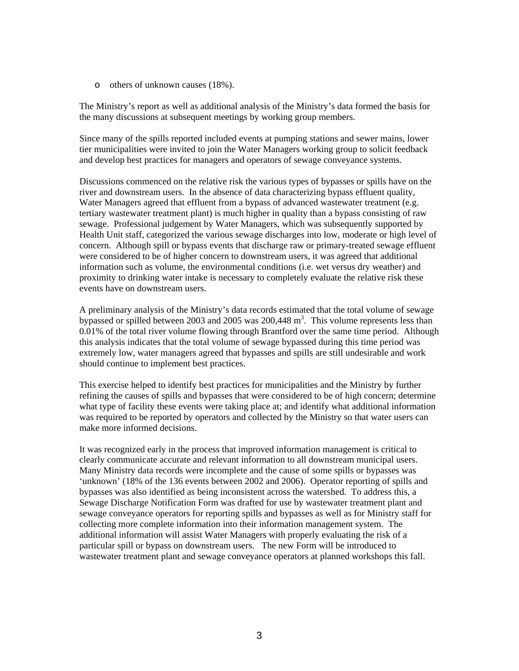o others of unknown causes (18%).

The Ministry's report as well as additional analysis of the Ministry's data formed the basis for the many discussions at subsequent meetings by working group members.

Since many of the spills reported included events at pumping stations and sewer mains, lower tier municipalities were invited to join the Water Managers working group to solicit feedback and develop best practices for managers and operators of sewage conveyance systems.

Discussions commenced on the relative risk the various types of bypasses or spills have on the river and downstream users. In the absence of data characterizing bypass effluent quality, Water Managers agreed that effluent from a bypass of advanced wastewater treatment (e.g. tertiary wastewater treatment plant) is much higher in quality than a bypass consisting of raw sewage. Professional judgement by Water Managers, which was subsequently supported by Health Unit staff, categorized the various sewage discharges into low, moderate or high level of concern. Although spill or bypass events that discharge raw or primary-treated sewage effluent were considered to be of higher concern to downstream users, it was agreed that additional information such as volume, the environmental conditions (i.e. wet versus dry weather) and proximity to drinking water intake is necessary to completely evaluate the relative risk these events have on downstream users.

A preliminary analysis of the Ministry's data records estimated that the total volume of sewage bypassed or spilled between 2003 and 2005 was  $200,448 \text{ m}^3$ . This volume represents less than 0.01% of the total river volume flowing through Brantford over the same time period. Although this analysis indicates that the total volume of sewage bypassed during this time period was extremely low, water managers agreed that bypasses and spills are still undesirable and work should continue to implement best practices.

This exercise helped to identify best practices for municipalities and the Ministry by further refining the causes of spills and bypasses that were considered to be of high concern; determine what type of facility these events were taking place at; and identify what additional information was required to be reported by operators and collected by the Ministry so that water users can make more informed decisions.

It was recognized early in the process that improved information management is critical to clearly communicate accurate and relevant information to all downstream municipal users. Many Ministry data records were incomplete and the cause of some spills or bypasses was 'unknown' (18% of the 136 events between 2002 and 2006). Operator reporting of spills and bypasses was also identified as being inconsistent across the watershed. To address this, a Sewage Discharge Notification Form was drafted for use by wastewater treatment plant and sewage conveyance operators for reporting spills and bypasses as well as for Ministry staff for collecting more complete information into their information management system. The additional information will assist Water Managers with properly evaluating the risk of a particular spill or bypass on downstream users. The new Form will be introduced to wastewater treatment plant and sewage conveyance operators at planned workshops this fall.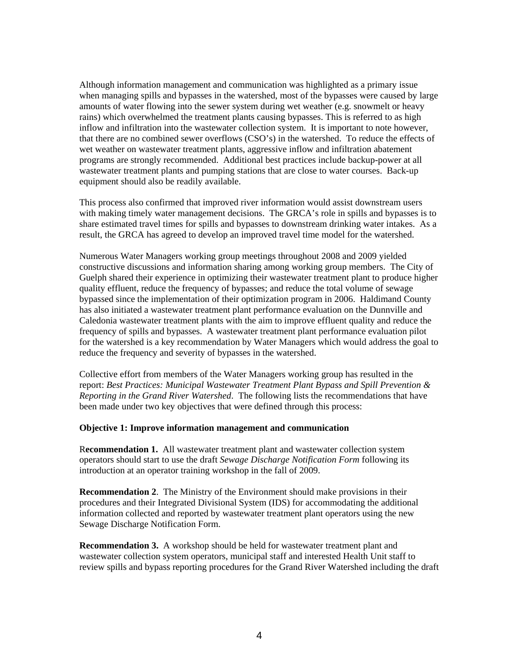Although information management and communication was highlighted as a primary issue when managing spills and bypasses in the watershed, most of the bypasses were caused by large amounts of water flowing into the sewer system during wet weather (e.g. snowmelt or heavy rains) which overwhelmed the treatment plants causing bypasses. This is referred to as high inflow and infiltration into the wastewater collection system. It is important to note however, that there are no combined sewer overflows (CSO's) in the watershed. To reduce the effects of wet weather on wastewater treatment plants, aggressive inflow and infiltration abatement programs are strongly recommended. Additional best practices include backup-power at all wastewater treatment plants and pumping stations that are close to water courses. Back-up equipment should also be readily available.

This process also confirmed that improved river information would assist downstream users with making timely water management decisions. The GRCA's role in spills and bypasses is to share estimated travel times for spills and bypasses to downstream drinking water intakes. As a result, the GRCA has agreed to develop an improved travel time model for the watershed.

Numerous Water Managers working group meetings throughout 2008 and 2009 yielded constructive discussions and information sharing among working group members. The City of Guelph shared their experience in optimizing their wastewater treatment plant to produce higher quality effluent, reduce the frequency of bypasses; and reduce the total volume of sewage bypassed since the implementation of their optimization program in 2006. Haldimand County has also initiated a wastewater treatment plant performance evaluation on the Dunnville and Caledonia wastewater treatment plants with the aim to improve effluent quality and reduce the frequency of spills and bypasses. A wastewater treatment plant performance evaluation pilot for the watershed is a key recommendation by Water Managers which would address the goal to reduce the frequency and severity of bypasses in the watershed.

Collective effort from members of the Water Managers working group has resulted in the report: *Best Practices: Municipal Wastewater Treatment Plant Bypass and Spill Prevention & Reporting in the Grand River Watershed*. The following lists the recommendations that have been made under two key objectives that were defined through this process:

#### **Objective 1: Improve information management and communication**

R**ecommendation 1.** All wastewater treatment plant and wastewater collection system operators should start to use the draft *Sewage Discharge Notification Form* following its introduction at an operator training workshop in the fall of 2009.

**Recommendation 2**. The Ministry of the Environment should make provisions in their procedures and their Integrated Divisional System (IDS) for accommodating the additional information collected and reported by wastewater treatment plant operators using the new Sewage Discharge Notification Form.

**Recommendation 3.** A workshop should be held for wastewater treatment plant and wastewater collection system operators, municipal staff and interested Health Unit staff to review spills and bypass reporting procedures for the Grand River Watershed including the draft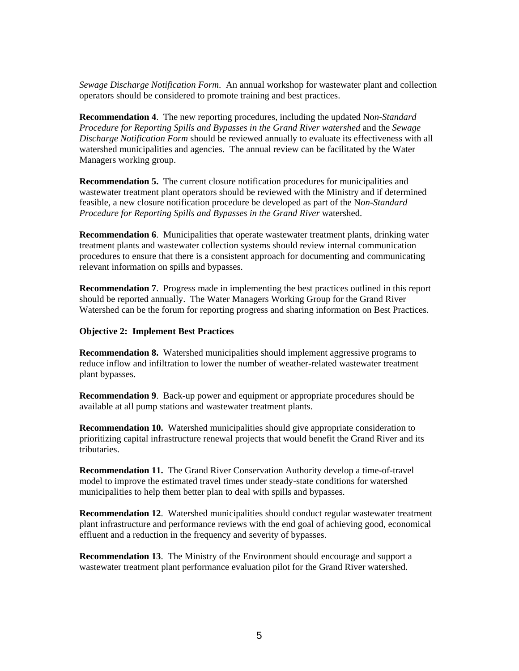*Sewage Discharge Notification Form*. An annual workshop for wastewater plant and collection operators should be considered to promote training and best practices.

**Recommendation 4**. The new reporting procedures, including the updated No*n-Standard Procedure for Reporting Spills and Bypasses in the Grand River watershed* and the *Sewage Discharge Notification Form* should be reviewed annually to evaluate its effectiveness with all watershed municipalities and agencies. The annual review can be facilitated by the Water Managers working group.

**Recommendation 5.** The current closure notification procedures for municipalities and wastewater treatment plant operators should be reviewed with the Ministry and if determined feasible, a new closure notification procedure be developed as part of the N*on-Standard Procedure for Reporting Spills and Bypasses in the Grand River* watershed.

**Recommendation 6**. Municipalities that operate wastewater treatment plants, drinking water treatment plants and wastewater collection systems should review internal communication procedures to ensure that there is a consistent approach for documenting and communicating relevant information on spills and bypasses.

**Recommendation 7**. Progress made in implementing the best practices outlined in this report should be reported annually. The Water Managers Working Group for the Grand River Watershed can be the forum for reporting progress and sharing information on Best Practices.

#### **Objective 2: Implement Best Practices**

**Recommendation 8.** Watershed municipalities should implement aggressive programs to reduce inflow and infiltration to lower the number of weather-related wastewater treatment plant bypasses.

**Recommendation 9**. Back-up power and equipment or appropriate procedures should be available at all pump stations and wastewater treatment plants.

**Recommendation 10.** Watershed municipalities should give appropriate consideration to prioritizing capital infrastructure renewal projects that would benefit the Grand River and its tributaries.

**Recommendation 11.** The Grand River Conservation Authority develop a time-of-travel model to improve the estimated travel times under steady-state conditions for watershed municipalities to help them better plan to deal with spills and bypasses.

**Recommendation 12**. Watershed municipalities should conduct regular wastewater treatment plant infrastructure and performance reviews with the end goal of achieving good, economical effluent and a reduction in the frequency and severity of bypasses.

**Recommendation 13**. The Ministry of the Environment should encourage and support a wastewater treatment plant performance evaluation pilot for the Grand River watershed.